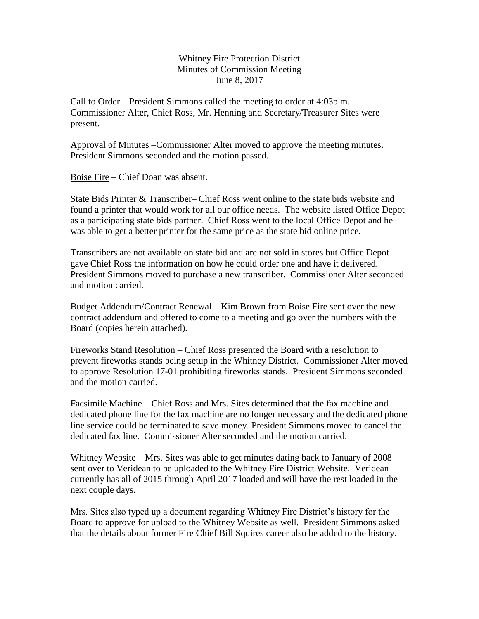Whitney Fire Protection District Minutes of Commission Meeting June 8, 2017

Call to Order – President Simmons called the meeting to order at 4:03p.m. Commissioner Alter, Chief Ross, Mr. Henning and Secretary/Treasurer Sites were present.

Approval of Minutes –Commissioner Alter moved to approve the meeting minutes. President Simmons seconded and the motion passed.

Boise Fire – Chief Doan was absent.

State Bids Printer & Transcriber– Chief Ross went online to the state bids website and found a printer that would work for all our office needs. The website listed Office Depot as a participating state bids partner. Chief Ross went to the local Office Depot and he was able to get a better printer for the same price as the state bid online price.

Transcribers are not available on state bid and are not sold in stores but Office Depot gave Chief Ross the information on how he could order one and have it delivered. President Simmons moved to purchase a new transcriber. Commissioner Alter seconded and motion carried.

Budget Addendum/Contract Renewal – Kim Brown from Boise Fire sent over the new contract addendum and offered to come to a meeting and go over the numbers with the Board (copies herein attached).

Fireworks Stand Resolution – Chief Ross presented the Board with a resolution to prevent fireworks stands being setup in the Whitney District. Commissioner Alter moved to approve Resolution 17-01 prohibiting fireworks stands. President Simmons seconded and the motion carried.

Facsimile Machine – Chief Ross and Mrs. Sites determined that the fax machine and dedicated phone line for the fax machine are no longer necessary and the dedicated phone line service could be terminated to save money. President Simmons moved to cancel the dedicated fax line. Commissioner Alter seconded and the motion carried.

Whitney Website – Mrs. Sites was able to get minutes dating back to January of 2008 sent over to Veridean to be uploaded to the Whitney Fire District Website. Veridean currently has all of 2015 through April 2017 loaded and will have the rest loaded in the next couple days.

Mrs. Sites also typed up a document regarding Whitney Fire District's history for the Board to approve for upload to the Whitney Website as well. President Simmons asked that the details about former Fire Chief Bill Squires career also be added to the history.